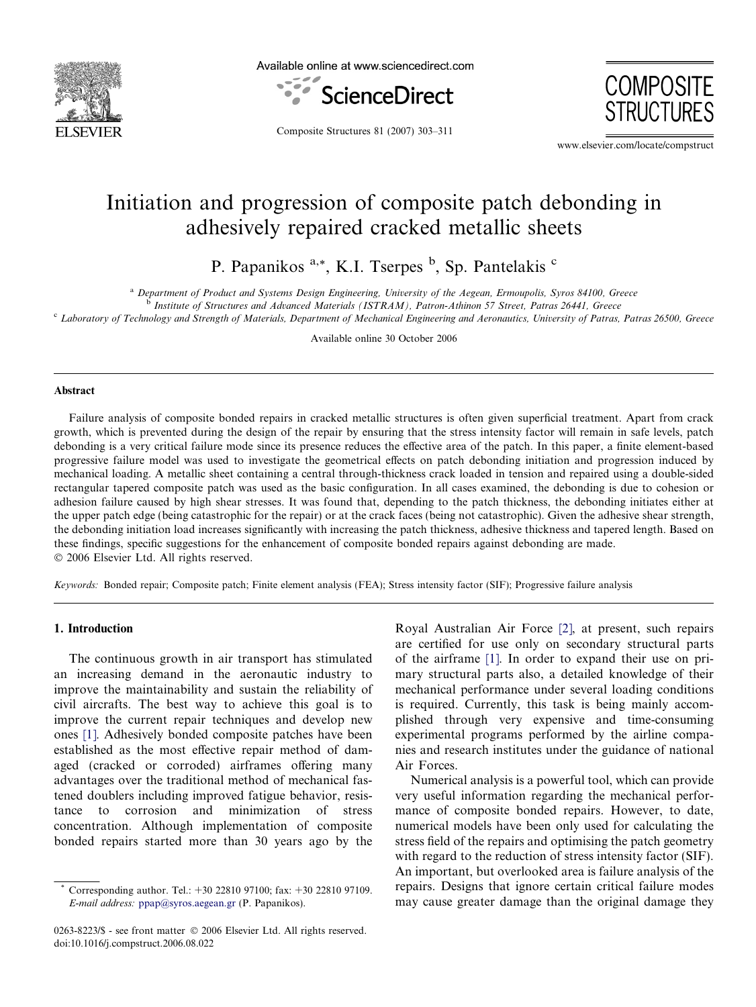

Available online at www.sciencedirect.com



**COMPOSITE STRUCTURES** 

Composite Structures 81 (2007) 303–311

www.elsevier.com/locate/compstruct

# Initiation and progression of composite patch debonding in adhesively repaired cracked metallic sheets

P. Papanikos <sup>a,\*</sup>, K.I. Tserpes <sup>b</sup>, Sp. Pantelakis <sup>c</sup>

<sup>a</sup> Department of Product and Systems Design Engineering, University of the Aegean, Ermoupolis, Syros 84100, Greece

<sup>b</sup> Institute of Structures and Advanced Materials (ISTRAM), Patron-Athinon 57 Street, Patras 26441, Greece

<sup>c</sup> Laboratory of Technology and Strength of Materials, Department of Mechanical Engineering and Aeronautics, University of Patras, Patras 26500, Greece

Available online 30 October 2006

## Abstract

Failure analysis of composite bonded repairs in cracked metallic structures is often given superficial treatment. Apart from crack growth, which is prevented during the design of the repair by ensuring that the stress intensity factor will remain in safe levels, patch debonding is a very critical failure mode since its presence reduces the effective area of the patch. In this paper, a finite element-based progressive failure model was used to investigate the geometrical effects on patch debonding initiation and progression induced by mechanical loading. A metallic sheet containing a central through-thickness crack loaded in tension and repaired using a double-sided rectangular tapered composite patch was used as the basic configuration. In all cases examined, the debonding is due to cohesion or adhesion failure caused by high shear stresses. It was found that, depending to the patch thickness, the debonding initiates either at the upper patch edge (being catastrophic for the repair) or at the crack faces (being not catastrophic). Given the adhesive shear strength, the debonding initiation load increases significantly with increasing the patch thickness, adhesive thickness and tapered length. Based on these findings, specific suggestions for the enhancement of composite bonded repairs against debonding are made.  $© 2006 Elsevier Ltd. All rights reserved.$ 

Keywords: Bonded repair; Composite patch; Finite element analysis (FEA); Stress intensity factor (SIF); Progressive failure analysis

# 1. Introduction

The continuous growth in air transport has stimulated an increasing demand in the aeronautic industry to improve the maintainability and sustain the reliability of civil aircrafts. The best way to achieve this goal is to improve the current repair techniques and develop new ones [\[1\].](#page-8-0) Adhesively bonded composite patches have been established as the most effective repair method of damaged (cracked or corroded) airframes offering many advantages over the traditional method of mechanical fastened doublers including improved fatigue behavior, resistance to corrosion and minimization of stress concentration. Although implementation of composite bonded repairs started more than 30 years ago by the

Royal Australian Air Force [\[2\],](#page-8-0) at present, such repairs are certified for use only on secondary structural parts of the airframe [\[1\]](#page-8-0). In order to expand their use on primary structural parts also, a detailed knowledge of their mechanical performance under several loading conditions is required. Currently, this task is being mainly accomplished through very expensive and time-consuming experimental programs performed by the airline companies and research institutes under the guidance of national Air Forces.

Numerical analysis is a powerful tool, which can provide very useful information regarding the mechanical performance of composite bonded repairs. However, to date, numerical models have been only used for calculating the stress field of the repairs and optimising the patch geometry with regard to the reduction of stress intensity factor (SIF). An important, but overlooked area is failure analysis of the repairs. Designs that ignore certain critical failure modes may cause greater damage than the original damage they

Corresponding author. Tel.: +30 22810 97100; fax: +30 22810 97109. E-mail address: [ppap@syros.aegean.gr](mailto:ppap@syros.aegean.gr) (P. Papanikos).

<sup>0263-8223/\$ -</sup> see front matter © 2006 Elsevier Ltd. All rights reserved. doi:10.1016/j.compstruct.2006.08.022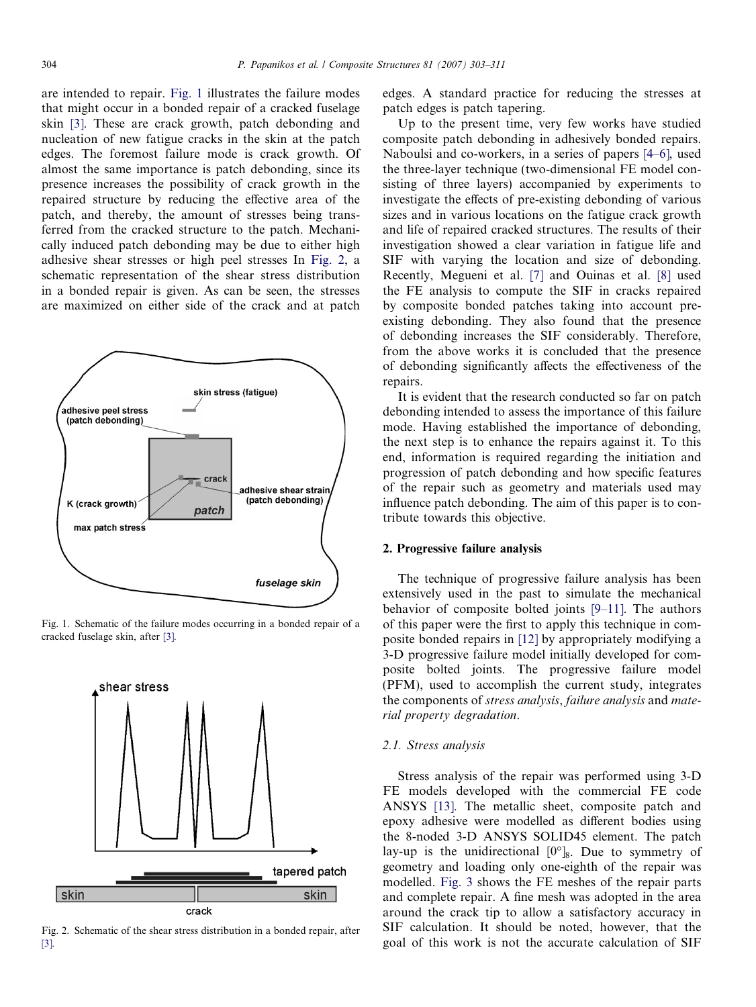are intended to repair. Fig. 1 illustrates the failure modes that might occur in a bonded repair of a cracked fuselage skin [\[3\].](#page-8-0) These are crack growth, patch debonding and nucleation of new fatigue cracks in the skin at the patch edges. The foremost failure mode is crack growth. Of almost the same importance is patch debonding, since its presence increases the possibility of crack growth in the repaired structure by reducing the effective area of the patch, and thereby, the amount of stresses being transferred from the cracked structure to the patch. Mechanically induced patch debonding may be due to either high adhesive shear stresses or high peel stresses In Fig. 2, a schematic representation of the shear stress distribution in a bonded repair is given. As can be seen, the stresses are maximized on either side of the crack and at patch



Fig. 1. Schematic of the failure modes occurring in a bonded repair of a cracked fuselage skin, after [\[3\].](#page-8-0)



Fig. 2. Schematic of the shear stress distribution in a bonded repair, after [\[3\].](#page-8-0)

edges. A standard practice for reducing the stresses at patch edges is patch tapering.

Up to the present time, very few works have studied composite patch debonding in adhesively bonded repairs. Naboulsi and co-workers, in a series of papers [\[4–6\]](#page-8-0), used the three-layer technique (two-dimensional FE model consisting of three layers) accompanied by experiments to investigate the effects of pre-existing debonding of various sizes and in various locations on the fatigue crack growth and life of repaired cracked structures. The results of their investigation showed a clear variation in fatigue life and SIF with varying the location and size of debonding. Recently, Megueni et al. [\[7\]](#page-8-0) and Ouinas et al. [\[8\]](#page-8-0) used the FE analysis to compute the SIF in cracks repaired by composite bonded patches taking into account preexisting debonding. They also found that the presence of debonding increases the SIF considerably. Therefore, from the above works it is concluded that the presence of debonding significantly affects the effectiveness of the repairs.

It is evident that the research conducted so far on patch debonding intended to assess the importance of this failure mode. Having established the importance of debonding, the next step is to enhance the repairs against it. To this end, information is required regarding the initiation and progression of patch debonding and how specific features of the repair such as geometry and materials used may influence patch debonding. The aim of this paper is to contribute towards this objective.

# 2. Progressive failure analysis

The technique of progressive failure analysis has been extensively used in the past to simulate the mechanical behavior of composite bolted joints [\[9–11\]](#page-8-0). The authors of this paper were the first to apply this technique in composite bonded repairs in [\[12\]](#page-8-0) by appropriately modifying a 3-D progressive failure model initially developed for composite bolted joints. The progressive failure model (PFM), used to accomplish the current study, integrates the components of stress analysis, failure analysis and material property degradation.

#### 2.1. Stress analysis

Stress analysis of the repair was performed using 3-D FE models developed with the commercial FE code ANSYS [\[13\].](#page-8-0) The metallic sheet, composite patch and epoxy adhesive were modelled as different bodies using the 8-noded 3-D ANSYS SOLID45 element. The patch lay-up is the unidirectional  $[0^{\circ}]_8$ . Due to symmetry of geometry and loading only one-eighth of the repair was modelled. [Fig. 3](#page-2-0) shows the FE meshes of the repair parts and complete repair. A fine mesh was adopted in the area around the crack tip to allow a satisfactory accuracy in SIF calculation. It should be noted, however, that the goal of this work is not the accurate calculation of SIF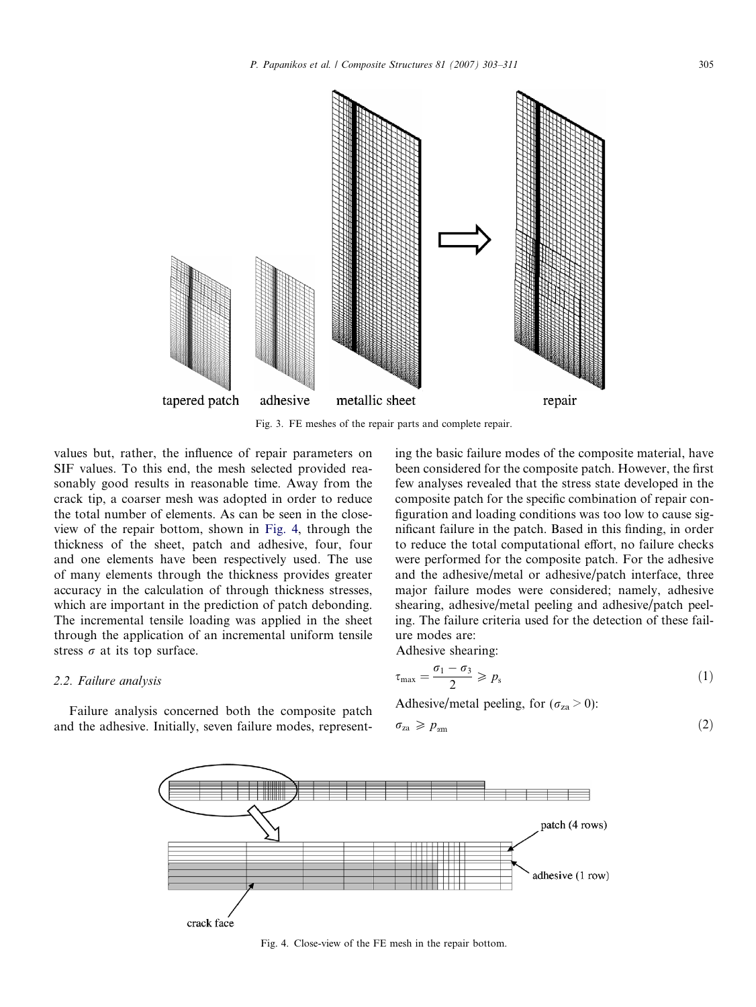<span id="page-2-0"></span>

Fig. 3. FE meshes of the repair parts and complete repair.

values but, rather, the influence of repair parameters on SIF values. To this end, the mesh selected provided reasonably good results in reasonable time. Away from the crack tip, a coarser mesh was adopted in order to reduce the total number of elements. As can be seen in the closeview of the repair bottom, shown in Fig. 4, through the thickness of the sheet, patch and adhesive, four, four and one elements have been respectively used. The use of many elements through the thickness provides greater accuracy in the calculation of through thickness stresses, which are important in the prediction of patch debonding. The incremental tensile loading was applied in the sheet through the application of an incremental uniform tensile stress  $\sigma$  at its top surface.

## 2.2. Failure analysis

Failure analysis concerned both the composite patch and the adhesive. Initially, seven failure modes, representing the basic failure modes of the composite material, have been considered for the composite patch. However, the first few analyses revealed that the stress state developed in the composite patch for the specific combination of repair configuration and loading conditions was too low to cause significant failure in the patch. Based in this finding, in order to reduce the total computational effort, no failure checks were performed for the composite patch. For the adhesive and the adhesive/metal or adhesive/patch interface, three major failure modes were considered; namely, adhesive shearing, adhesive/metal peeling and adhesive/patch peeling. The failure criteria used for the detection of these failure modes are:

Adhesive shearing:

$$
\tau_{\max} = \frac{\sigma_1 - \sigma_3}{2} \geqslant p_s \tag{1}
$$

Adhesive/metal peeling, for  $(\sigma_{za} > 0)$ :

$$
\sigma_{\text{za}} \geqslant p_{\text{am}} \tag{2}
$$



Fig. 4. Close-view of the FE mesh in the repair bottom.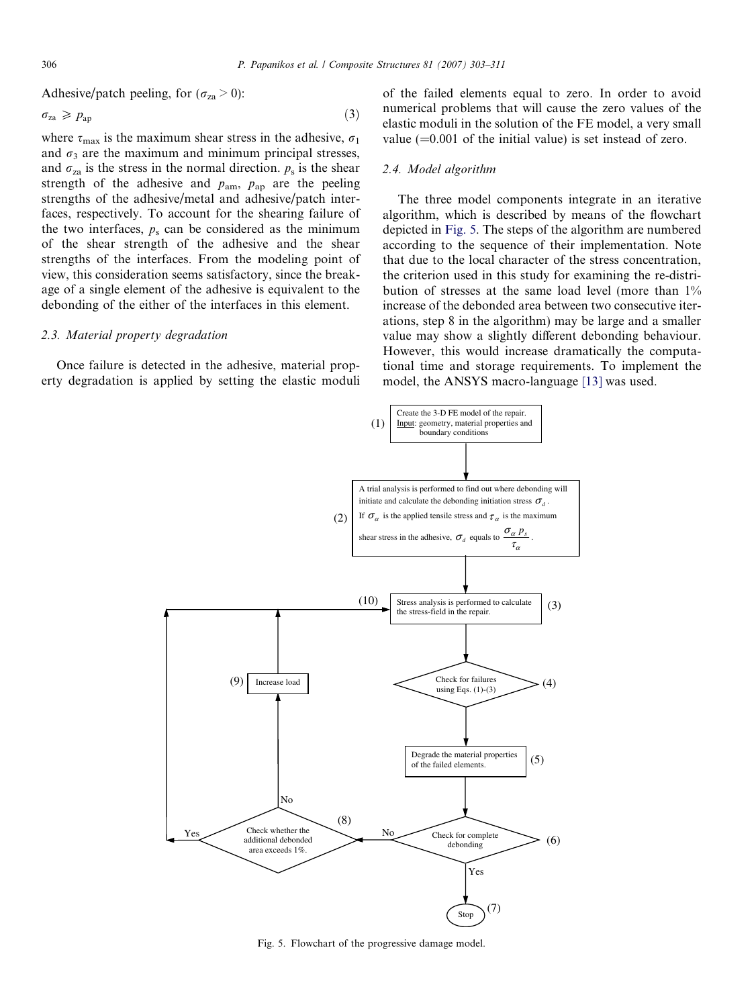<span id="page-3-0"></span>Adhesive/patch peeling, for  $(\sigma_{za} > 0)$ :

$$
\sigma_{\text{za}} \geqslant p_{\text{ap}} \tag{3}
$$

where  $\tau_{\text{max}}$  is the maximum shear stress in the adhesive,  $\sigma_1$ and  $\sigma_3$  are the maximum and minimum principal stresses, and  $\sigma_{za}$  is the stress in the normal direction.  $p_s$  is the shear strength of the adhesive and  $p_{am}$ ,  $p_{ap}$  are the peeling strengths of the adhesive/metal and adhesive/patch interfaces, respectively. To account for the shearing failure of the two interfaces,  $p_s$  can be considered as the minimum of the shear strength of the adhesive and the shear strengths of the interfaces. From the modeling point of view, this consideration seems satisfactory, since the breakage of a single element of the adhesive is equivalent to the debonding of the either of the interfaces in this element.

# 2.3. Material property degradation

Once failure is detected in the adhesive, material property degradation is applied by setting the elastic moduli of the failed elements equal to zero. In order to avoid numerical problems that will cause the zero values of the elastic moduli in the solution of the FE model, a very small value  $(=0.001$  of the initial value) is set instead of zero.

## 2.4. Model algorithm

The three model components integrate in an iterative algorithm, which is described by means of the flowchart depicted in Fig. 5. The steps of the algorithm are numbered according to the sequence of their implementation. Note that due to the local character of the stress concentration, the criterion used in this study for examining the re-distribution of stresses at the same load level (more than 1% increase of the debonded area between two consecutive iterations, step 8 in the algorithm) may be large and a smaller value may show a slightly different debonding behaviour. However, this would increase dramatically the computational time and storage requirements. To implement the model, the ANSYS macro-language [\[13\]](#page-8-0) was used.



Fig. 5. Flowchart of the progressive damage model.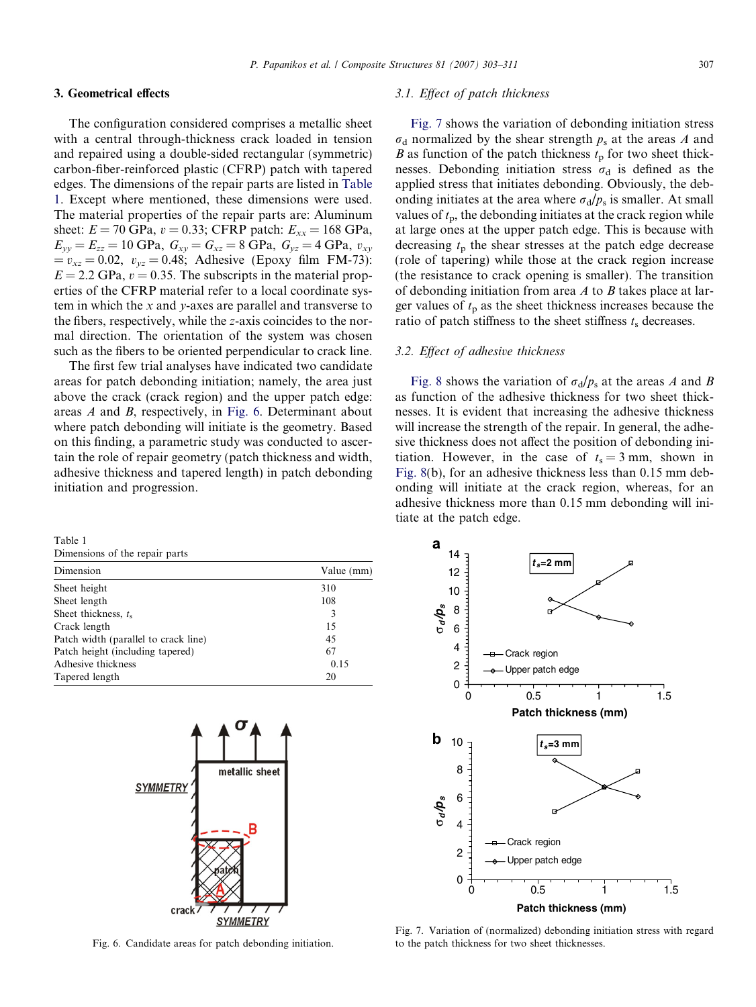# 3. Geometrical effects

The configuration considered comprises a metallic sheet with a central through-thickness crack loaded in tension and repaired using a double-sided rectangular (symmetric) carbon-fiber-reinforced plastic (CFRP) patch with tapered edges. The dimensions of the repair parts are listed in Table 1. Except where mentioned, these dimensions were used. The material properties of the repair parts are: Aluminum sheet:  $E = 70$  GPa,  $v = 0.33$ ; CFRP patch:  $E_{xx} = 168$  GPa,  $E_{yy} = E_{zz} = 10 \text{ GPa}, G_{xy} = G_{xz} = 8 \text{ GPa}, G_{yz} = 4 \text{ GPa}, v_{xy}$  $= v_{xz} = 0.02$ ,  $v_{yz} = 0.48$ ; Adhesive (Epoxy film FM-73):  $E = 2.2$  GPa,  $v = 0.35$ . The subscripts in the material properties of the CFRP material refer to a local coordinate system in which the  $x$  and  $y$ -axes are parallel and transverse to the fibers, respectively, while the z-axis coincides to the normal direction. The orientation of the system was chosen such as the fibers to be oriented perpendicular to crack line.

The first few trial analyses have indicated two candidate areas for patch debonding initiation; namely, the area just above the crack (crack region) and the upper patch edge: areas A and B, respectively, in Fig. 6. Determinant about where patch debonding will initiate is the geometry. Based on this finding, a parametric study was conducted to ascertain the role of repair geometry (patch thickness and width, adhesive thickness and tapered length) in patch debonding initiation and progression.

Table 1 Dimensions of the repair parts

| Dimension                            | Value (mm) |
|--------------------------------------|------------|
| Sheet height                         | 310        |
| Sheet length                         | 108        |
| Sheet thickness, $t_s$               | 3          |
| Crack length                         | 15         |
| Patch width (parallel to crack line) | 45         |
| Patch height (including tapered)     | 67         |
| Adhesive thickness                   | 0.15       |
| Tapered length                       | 20         |



Fig. 6. Candidate areas for patch debonding initiation.

# 3.1. Effect of patch thickness

Fig. 7 shows the variation of debonding initiation stress  $\sigma_d$  normalized by the shear strength  $p_s$  at the areas A and B as function of the patch thickness  $t_p$  for two sheet thicknesses. Debonding initiation stress  $\sigma_d$  is defined as the applied stress that initiates debonding. Obviously, the debonding initiates at the area where  $\sigma_d/p_s$  is smaller. At small values of  $t_p$ , the debonding initiates at the crack region while at large ones at the upper patch edge. This is because with decreasing  $t_p$  the shear stresses at the patch edge decrease (role of tapering) while those at the crack region increase (the resistance to crack opening is smaller). The transition of debonding initiation from area  $A$  to  $B$  takes place at larger values of  $t_p$  as the sheet thickness increases because the ratio of patch stiffness to the sheet stiffness  $t_s$  decreases.

## 3.2. Effect of adhesive thickness

[Fig. 8](#page-5-0) shows the variation of  $\sigma_d/p_s$  at the areas A and B as function of the adhesive thickness for two sheet thicknesses. It is evident that increasing the adhesive thickness will increase the strength of the repair. In general, the adhesive thickness does not affect the position of debonding initiation. However, in the case of  $t_s = 3$  mm, shown in [Fig. 8](#page-5-0)(b), for an adhesive thickness less than 0.15 mm debonding will initiate at the crack region, whereas, for an adhesive thickness more than 0.15 mm debonding will initiate at the patch edge.



Fig. 7. Variation of (normalized) debonding initiation stress with regard to the patch thickness for two sheet thicknesses.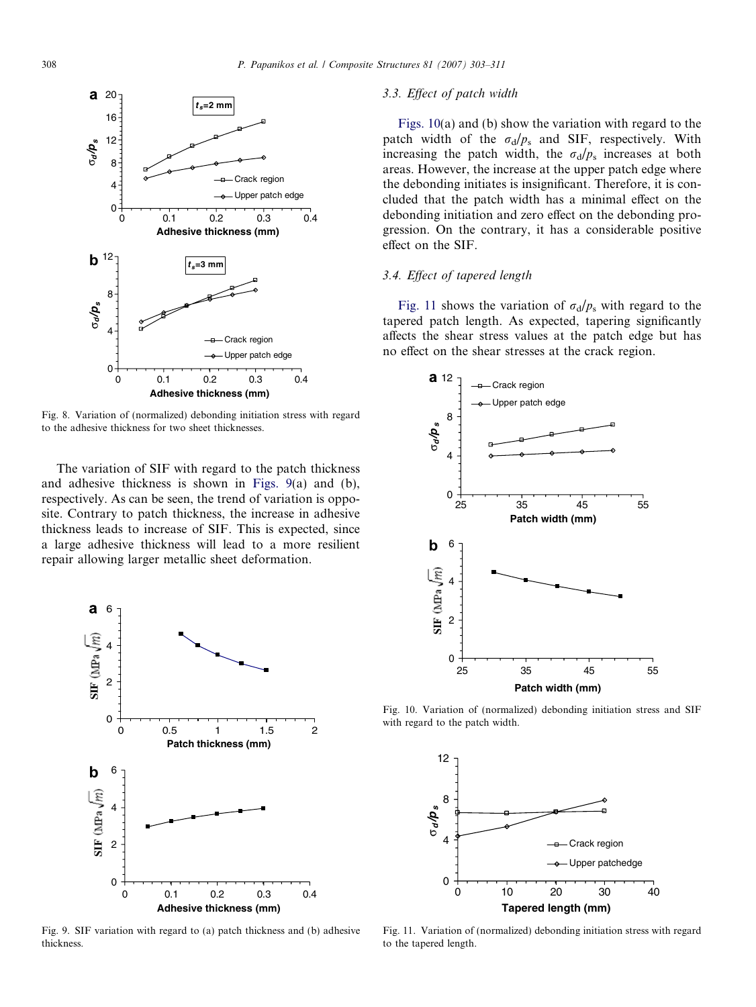<span id="page-5-0"></span>

Fig. 8. Variation of (normalized) debonding initiation stress with regard to the adhesive thickness for two sheet thicknesses.

The variation of SIF with regard to the patch thickness and adhesive thickness is shown in Figs. 9(a) and (b), respectively. As can be seen, the trend of variation is opposite. Contrary to patch thickness, the increase in adhesive thickness leads to increase of SIF. This is expected, since a large adhesive thickness will lead to a more resilient repair allowing larger metallic sheet deformation.



Fig. 9. SIF variation with regard to (a) patch thickness and (b) adhesive thickness.

# 3.3. Effect of patch width

Figs. 10(a) and (b) show the variation with regard to the patch width of the  $\sigma_d/p_s$  and SIF, respectively. With increasing the patch width, the  $\sigma_d/p_s$  increases at both areas. However, the increase at the upper patch edge where the debonding initiates is insignificant. Therefore, it is concluded that the patch width has a minimal effect on the debonding initiation and zero effect on the debonding progression. On the contrary, it has a considerable positive effect on the SIF.

## 3.4. Effect of tapered length

Fig. 11 shows the variation of  $\sigma_d/p_s$  with regard to the tapered patch length. As expected, tapering significantly affects the shear stress values at the patch edge but has no effect on the shear stresses at the crack region.



Fig. 10. Variation of (normalized) debonding initiation stress and SIF with regard to the patch width.



Fig. 11. Variation of (normalized) debonding initiation stress with regard to the tapered length.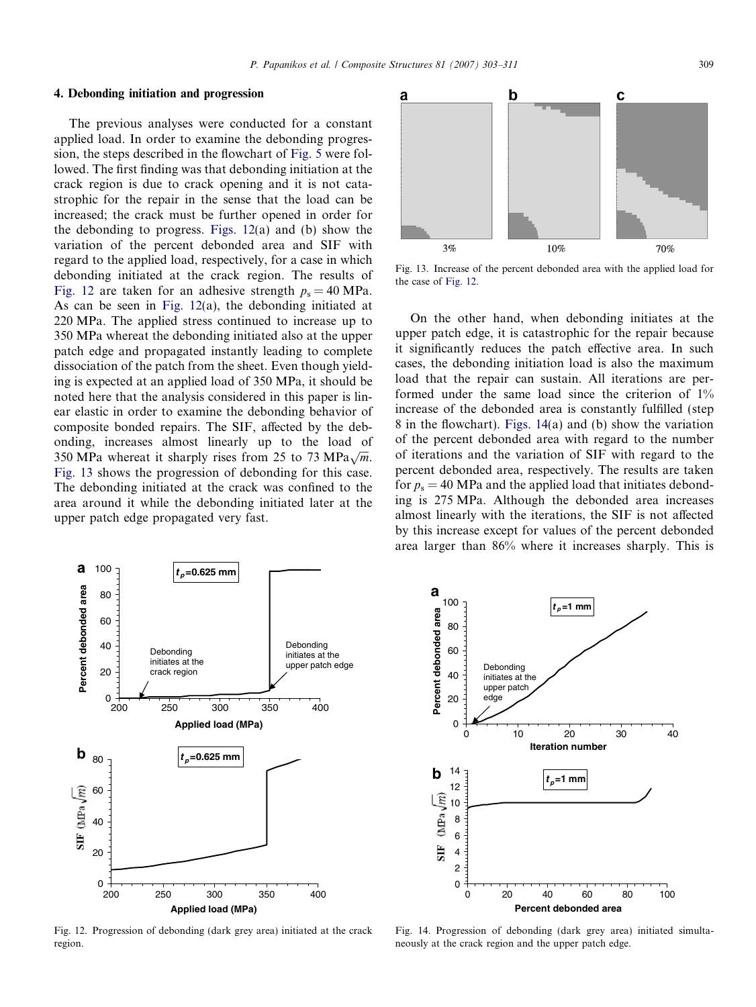#### <span id="page-6-0"></span>4. Debonding initiation and progression

The previous analyses were conducted for a constant applied load. In order to examine the debonding progression, the steps described in the flowchart of [Fig. 5](#page-3-0) were followed. The first finding was that debonding initiation at the crack region is due to crack opening and it is not catastrophic for the repair in the sense that the load can be increased; the crack must be further opened in order for the debonding to progress. Figs. 12(a) and (b) show the variation of the percent debonded area and SIF with regard to the applied load, respectively, for a case in which debonding initiated at the crack region. The results of Fig. 12 are taken for an adhesive strength  $p_s = 40 \text{ MPa}$ . As can be seen in Fig. 12(a), the debonding initiated at 220 MPa. The applied stress continued to increase up to 350 MPa whereat the debonding initiated also at the upper patch edge and propagated instantly leading to complete dissociation of the patch from the sheet. Even though yielding is expected at an applied load of 350 MPa, it should be noted here that the analysis considered in this paper is linear elastic in order to examine the debonding behavior of composite bonded repairs. The SIF, affected by the debonding, increases almost linearly up to the load of 350 MPa whereat it sharply rises from 25 to 73 MPa $\sqrt{m}$ . Fig. 13 shows the progression of debonding for this case. The debonding initiated at the crack was confined to the area around it while the debonding initiated later at the upper patch edge propagated very fast.



Fig. 12. Progression of debonding (dark grey area) initiated at the crack region.



Fig. 13. Increase of the percent debonded area with the applied load for the case of Fig. 12.

On the other hand, when debonding initiates at the upper patch edge, it is catastrophic for the repair because it significantly reduces the patch effective area. In such cases, the debonding initiation load is also the maximum load that the repair can sustain. All iterations are performed under the same load since the criterion of 1% increase of the debonded area is constantly fulfilled (step 8 in the flowchart). Figs. 14(a) and (b) show the variation of the percent debonded area with regard to the number of iterations and the variation of SIF with regard to the percent debonded area, respectively. The results are taken for  $p_s = 40$  MPa and the applied load that initiates debonding is 275 MPa. Although the debonded area increases almost linearly with the iterations, the SIF is not affected by this increase except for values of the percent debonded area larger than 86% where it increases sharply. This is



Fig. 14. Progression of debonding (dark grey area) initiated simultaneously at the crack region and the upper patch edge.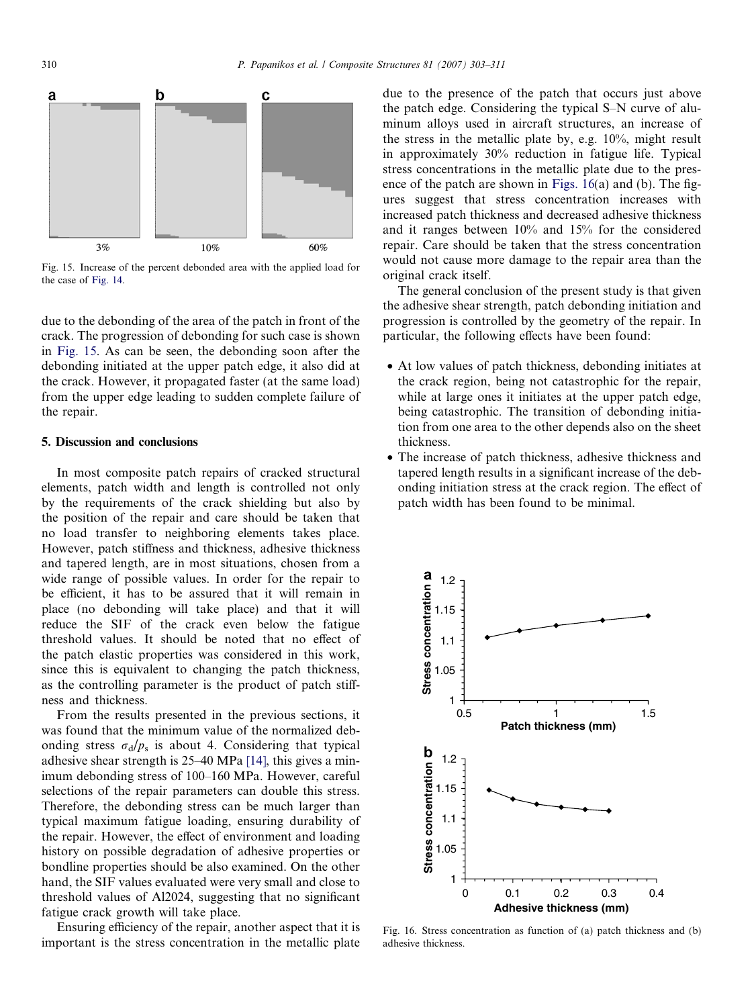

Fig. 15. Increase of the percent debonded area with the applied load for the case of [Fig. 14](#page-6-0).

due to the debonding of the area of the patch in front of the crack. The progression of debonding for such case is shown in Fig. 15. As can be seen, the debonding soon after the debonding initiated at the upper patch edge, it also did at the crack. However, it propagated faster (at the same load) from the upper edge leading to sudden complete failure of the repair.

## 5. Discussion and conclusions

In most composite patch repairs of cracked structural elements, patch width and length is controlled not only by the requirements of the crack shielding but also by the position of the repair and care should be taken that no load transfer to neighboring elements takes place. However, patch stiffness and thickness, adhesive thickness and tapered length, are in most situations, chosen from a wide range of possible values. In order for the repair to be efficient, it has to be assured that it will remain in place (no debonding will take place) and that it will reduce the SIF of the crack even below the fatigue threshold values. It should be noted that no effect of the patch elastic properties was considered in this work, since this is equivalent to changing the patch thickness, as the controlling parameter is the product of patch stiffness and thickness.

From the results presented in the previous sections, it was found that the minimum value of the normalized debonding stress  $\sigma_d/p_s$  is about 4. Considering that typical adhesive shear strength is 25–40 MPa [\[14\],](#page-8-0) this gives a minimum debonding stress of 100–160 MPa. However, careful selections of the repair parameters can double this stress. Therefore, the debonding stress can be much larger than typical maximum fatigue loading, ensuring durability of the repair. However, the effect of environment and loading history on possible degradation of adhesive properties or bondline properties should be also examined. On the other hand, the SIF values evaluated were very small and close to threshold values of Al2024, suggesting that no significant fatigue crack growth will take place.

Ensuring efficiency of the repair, another aspect that it is important is the stress concentration in the metallic plate due to the presence of the patch that occurs just above the patch edge. Considering the typical S–N curve of aluminum alloys used in aircraft structures, an increase of the stress in the metallic plate by, e.g. 10%, might result in approximately 30% reduction in fatigue life. Typical stress concentrations in the metallic plate due to the presence of the patch are shown in Figs. 16(a) and (b). The figures suggest that stress concentration increases with increased patch thickness and decreased adhesive thickness and it ranges between 10% and 15% for the considered repair. Care should be taken that the stress concentration would not cause more damage to the repair area than the original crack itself.

The general conclusion of the present study is that given the adhesive shear strength, patch debonding initiation and progression is controlled by the geometry of the repair. In particular, the following effects have been found:

- At low values of patch thickness, debonding initiates at the crack region, being not catastrophic for the repair, while at large ones it initiates at the upper patch edge, being catastrophic. The transition of debonding initiation from one area to the other depends also on the sheet thickness.
- The increase of patch thickness, adhesive thickness and tapered length results in a significant increase of the debonding initiation stress at the crack region. The effect of patch width has been found to be minimal.



Fig. 16. Stress concentration as function of (a) patch thickness and (b) adhesive thickness.